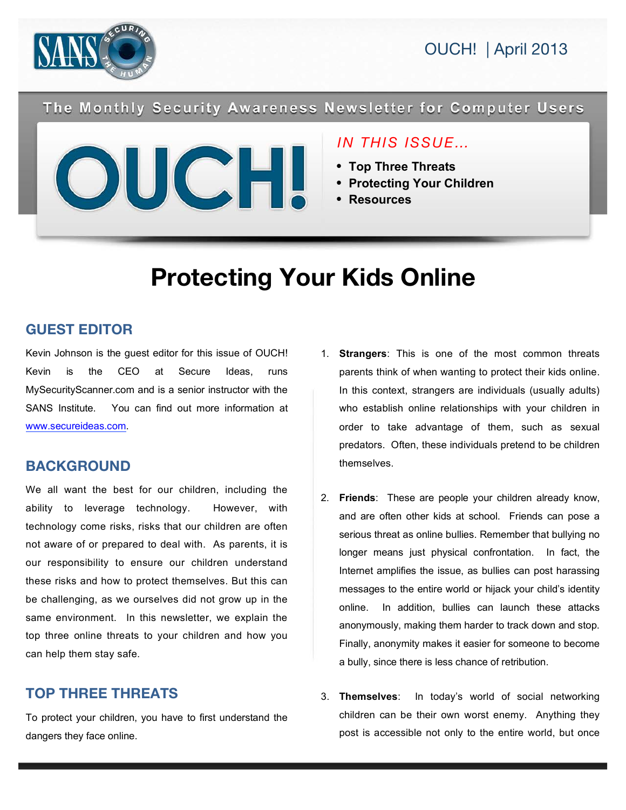

The Monthly Security Awareness Newsletter for Computer Users



## *IN THIS ISSUE…*

- **Top Three Threats**
- **Protecting Your Children**
- **Resources**

# **Protecting Your Kids Online**

## **GUEST EDITOR**

Kevin Johnson is the guest editor for this issue of OUCH! Kevin is the CEO at Secure Ideas, runs MySecurityScanner.com and is a senior instructor with the SANS Institute. You can find out more information at www.secureideas.com.

### **BACKGROUND**

We all want the best for our children, including the ability to leverage technology. However, with technology come risks, risks that our children are often not aware of or prepared to deal with. As parents, it is our responsibility to ensure our children understand these risks and how to protect themselves. But this can be challenging, as we ourselves did not grow up in the same environment. In this newsletter, we explain the top three online threats to your children and how you can help them stay safe.

## **TOP THREE THREATS**

To protect your children, you have to first understand the dangers they face online.

- 1. **Strangers**: This is one of the most common threats parents think of when wanting to protect their kids online. In this context, strangers are individuals (usually adults) who establish online relationships with your children in order to take advantage of them, such as sexual predators. Often, these individuals pretend to be children themselves.
- 2. **Friends**: These are people your children already know, and are often other kids at school. Friends can pose a serious threat as online bullies. Remember that bullying no longer means just physical confrontation. In fact, the Internet amplifies the issue, as bullies can post harassing messages to the entire world or hijack your child's identity online. In addition, bullies can launch these attacks anonymously, making them harder to track down and stop. Finally, anonymity makes it easier for someone to become a bully, since there is less chance of retribution.
- 3. **Themselves**: In today's world of social networking children can be their own worst enemy. Anything they post is accessible not only to the entire world, but once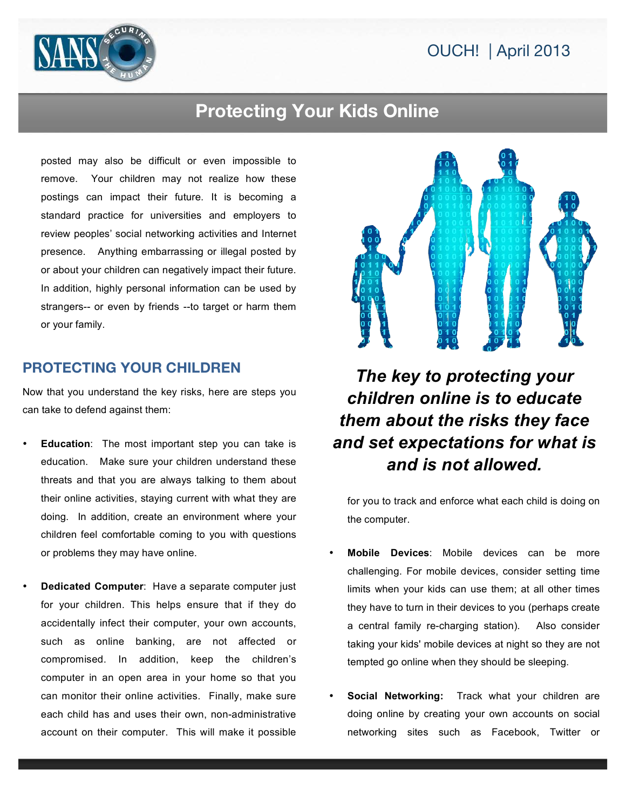# OUCH! | April 2013



## **Protecting Your Kids Online**

posted may also be difficult or even impossible to remove. Your children may not realize how these postings can impact their future. It is becoming a standard practice for universities and employers to review peoples' social networking activities and Internet presence. Anything embarrassing or illegal posted by or about your children can negatively impact their future. In addition, highly personal information can be used by strangers-- or even by friends --to target or harm them or your family.

#### **PROTECTING YOUR CHILDREN**

Now that you understand the key risks, here are steps you can take to defend against them:

- **Education**: The most important step you can take is education. Make sure your children understand these threats and that you are always talking to them about their online activities, staying current with what they are doing. In addition, create an environment where your children feel comfortable coming to you with questions or problems they may have online.
- **Dedicated Computer**: Have a separate computer just for your children. This helps ensure that if they do accidentally infect their computer, your own accounts, such as online banking, are not affected or compromised. In addition, keep the children's computer in an open area in your home so that you can monitor their online activities. Finally, make sure each child has and uses their own, non-administrative account on their computer. This will make it possible



# *The key to protecting your children online is to educate them about the risks they face and set expectations for what is and is not allowed.*

for you to track and enforce what each child is doing on the computer.

- **Mobile Devices**: Mobile devices can be more challenging. For mobile devices, consider setting time limits when your kids can use them; at all other times they have to turn in their devices to you (perhaps create a central family re-charging station). Also consider taking your kids' mobile devices at night so they are not tempted go online when they should be sleeping.
- **Social Networking:** Track what your children are doing online by creating your own accounts on social networking sites such as Facebook, Twitter or